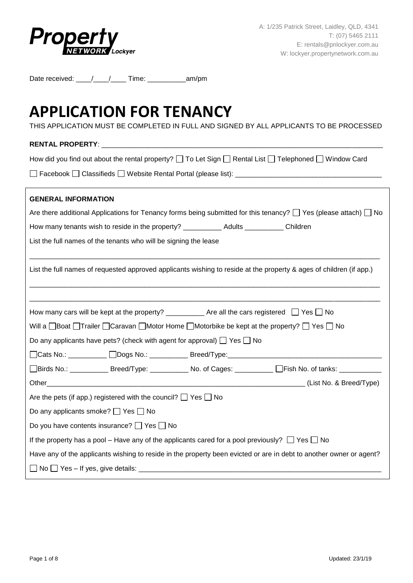

Date received: \_\_\_\_/\_\_\_\_/\_\_\_\_ Time: \_\_\_\_\_\_\_\_\_\_am/pm

# **APPLICATION FOR TENANCY**

THIS APPLICATION MUST BE COMPLETED IN FULL AND SIGNED BY ALL APPLICANTS TO BE PROCESSED

## **RENTAL PROPERTY**: \_\_\_\_\_\_\_\_\_\_\_\_\_\_\_\_\_\_\_\_\_\_\_\_\_\_\_\_\_\_\_\_\_\_\_\_\_\_\_\_\_\_\_\_\_\_\_\_\_\_\_\_\_\_\_\_\_\_\_\_\_\_\_\_\_\_\_\_\_\_\_\_\_

How did you find out about the rental property?  $\square$  To Let Sign  $\square$  Rental List  $\square$  Telephoned  $\square$  Window Card

Facebook Classifieds Website Rental Portal (please list): \_\_\_\_\_\_\_\_\_\_\_\_\_\_\_\_\_\_\_\_\_\_\_\_\_\_\_\_\_\_\_\_\_\_\_\_\_\_

| <b>GENERAL INFORMATION</b>                                                                                                        |  |  |  |  |  |  |  |  |  |  |
|-----------------------------------------------------------------------------------------------------------------------------------|--|--|--|--|--|--|--|--|--|--|
| Are there additional Applications for Tenancy forms being submitted for this tenancy? $\Box$ Yes (please attach) $\Box$ No        |  |  |  |  |  |  |  |  |  |  |
| How many tenants wish to reside in the property? ___________ Adults __________ Children                                           |  |  |  |  |  |  |  |  |  |  |
| List the full names of the tenants who will be signing the lease                                                                  |  |  |  |  |  |  |  |  |  |  |
| List the full names of requested approved applicants wishing to reside at the property & ages of children (if app.)               |  |  |  |  |  |  |  |  |  |  |
| How many cars will be kept at the property? $\frac{1}{2}$ Are all the cars registered $\Box$ Yes $\Box$ No                        |  |  |  |  |  |  |  |  |  |  |
| Will a $\Box$ Boat $\Box$ Trailer $\Box$ Caravan $\Box$ Motor Home $\Box$ Motorbike be kept at the property? $\Box$ Yes $\Box$ No |  |  |  |  |  |  |  |  |  |  |
| Do any applicants have pets? (check with agent for approval) $\Box$ Yes $\Box$ No                                                 |  |  |  |  |  |  |  |  |  |  |
|                                                                                                                                   |  |  |  |  |  |  |  |  |  |  |
| □Birds No.: ____________ Breed/Type: ___________ No. of Cages: _________ □Fish No. of tanks: ___________                          |  |  |  |  |  |  |  |  |  |  |
|                                                                                                                                   |  |  |  |  |  |  |  |  |  |  |
| Are the pets (if app.) registered with the council? $\Box$ Yes $\Box$ No                                                          |  |  |  |  |  |  |  |  |  |  |
| Do any applicants smoke? $\Box$ Yes $\Box$ No                                                                                     |  |  |  |  |  |  |  |  |  |  |
| Do you have contents insurance? □ Yes □ No                                                                                        |  |  |  |  |  |  |  |  |  |  |
| If the property has a pool – Have any of the applicants cared for a pool previously? $\Box$ Yes $\Box$ No                         |  |  |  |  |  |  |  |  |  |  |
| Have any of the applicants wishing to reside in the property been evicted or are in debt to another owner or agent?               |  |  |  |  |  |  |  |  |  |  |
|                                                                                                                                   |  |  |  |  |  |  |  |  |  |  |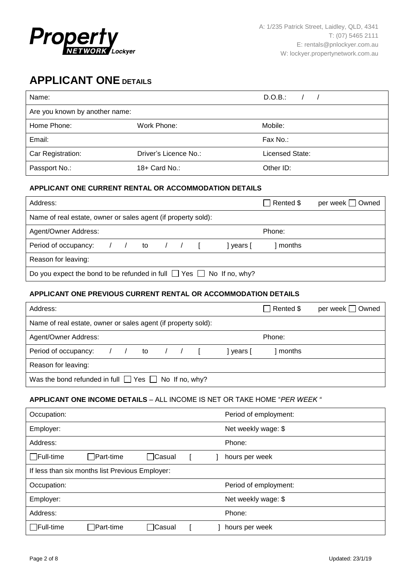

# **APPLICANT ONE DETAILS**

| Name:                          |                       | D.O.B.:         |  |  |  |  |  |  |
|--------------------------------|-----------------------|-----------------|--|--|--|--|--|--|
| Are you known by another name: |                       |                 |  |  |  |  |  |  |
| Home Phone:                    | Work Phone:           | Mobile:         |  |  |  |  |  |  |
| Email:                         |                       | Fax No.:        |  |  |  |  |  |  |
| Car Registration:              | Driver's Licence No.: | Licensed State: |  |  |  |  |  |  |
| Passport No.:                  | 18+ Card No.:         | Other ID:       |  |  |  |  |  |  |

# **APPLICANT ONE CURRENT RENTAL OR ACCOMMODATION DETAILS**

| Address:                                                                       |  |  |  |  |  |  |           | Rented \$ | $per$ week $\Box$ Owned |
|--------------------------------------------------------------------------------|--|--|--|--|--|--|-----------|-----------|-------------------------|
| Name of real estate, owner or sales agent (if property sold):                  |  |  |  |  |  |  |           |           |                         |
| Agent/Owner Address:                                                           |  |  |  |  |  |  |           | Phone:    |                         |
| Period of occupancy: / / to / / [                                              |  |  |  |  |  |  | I vears I | months    |                         |
| Reason for leaving:                                                            |  |  |  |  |  |  |           |           |                         |
| Do you expect the bond to be refunded in full $\Box$ Yes $\Box$ No If no, why? |  |  |  |  |  |  |           |           |                         |

### **APPLICANT ONE PREVIOUS CURRENT RENTAL OR ACCOMMODATION DETAILS**

| Address:                                                       | per week □ Owned<br>Rented \$ |  |  |  |  |  |  |  |  |
|----------------------------------------------------------------|-------------------------------|--|--|--|--|--|--|--|--|
| Name of real estate, owner or sales agent (if property sold):  |                               |  |  |  |  |  |  |  |  |
| Agent/Owner Address:                                           | Phone:                        |  |  |  |  |  |  |  |  |
| Period of occupancy: / / to / / [<br>wears [                   | months                        |  |  |  |  |  |  |  |  |
| Reason for leaving:                                            |                               |  |  |  |  |  |  |  |  |
| Was the bond refunded in full $\Box$ Yes $\Box$ No If no, why? |                               |  |  |  |  |  |  |  |  |

# **APPLICANT ONE INCOME DETAILS** – ALL INCOME IS NET OR TAKE HOME "*PER WEEK "*

| Occupation:                                     |                  |         |  |  | Period of employment: |  |
|-------------------------------------------------|------------------|---------|--|--|-----------------------|--|
| Employer:                                       |                  |         |  |  | Net weekly wage: \$   |  |
| Address:                                        |                  |         |  |  | Phone:                |  |
| $\Box$ Full-time                                | <b>Part-time</b> | ∃Casual |  |  | hours per week        |  |
| If less than six months list Previous Employer: |                  |         |  |  |                       |  |
| Occupation:                                     |                  |         |  |  | Period of employment: |  |
| Employer:                                       |                  |         |  |  | Net weekly wage: \$   |  |
| Address:                                        |                  |         |  |  | Phone:                |  |
| $\Box$ Full-time                                | $\Box$ Part-time | Casual  |  |  | hours per week        |  |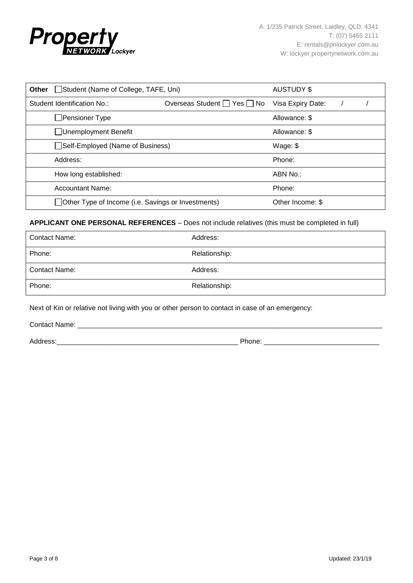

| Other                       | Student (Name of College, TAFE, Uni)               | <b>AUSTUDY \$</b>                     |                   |  |
|-----------------------------|----------------------------------------------------|---------------------------------------|-------------------|--|
| Student Identification No.: |                                                    | Overseas Student $\Box$ Yes $\Box$ No | Visa Expiry Date: |  |
|                             | Pensioner Type                                     |                                       | Allowance: \$     |  |
|                             | Unemployment Benefit                               | Allowance: \$                         |                   |  |
|                             | Self-Employed (Name of Business)                   | Wage: $$$                             |                   |  |
| Address:                    |                                                    | Phone:                                |                   |  |
|                             | How long established:                              | ABN No.:                              |                   |  |
|                             | Accountant Name:                                   |                                       | Phone:            |  |
|                             | Other Type of Income (i.e. Savings or Investments) |                                       | Other Income: \$  |  |

#### **APPLICANT ONE PERSONAL REFERENCES** – Does not include relatives (this must be completed in full)

| Contact Name:        | Address:      |
|----------------------|---------------|
| Phone:               | Relationship: |
| <b>Contact Name:</b> | Address:      |
| Phone:               | Relationship: |

Next of Kin or relative not living with you or other person to contact in case of an emergency:

Contact Name: \_\_\_\_\_\_\_\_\_\_\_\_\_\_\_\_\_\_\_\_\_\_\_\_\_\_\_\_\_\_\_\_\_\_\_\_\_\_\_\_\_\_\_\_\_\_\_\_\_\_\_\_\_\_\_\_\_\_\_\_\_\_\_\_\_\_\_\_\_\_\_\_\_\_\_\_\_\_\_

Address:\_\_\_\_\_\_\_\_\_\_\_\_\_\_\_\_\_\_\_\_\_\_\_\_\_\_\_\_\_\_\_\_\_\_\_\_\_\_\_\_\_\_\_\_\_\_\_ Phone: \_\_\_\_\_\_\_\_\_\_\_\_\_\_\_\_\_\_\_\_\_\_\_\_\_\_\_\_\_\_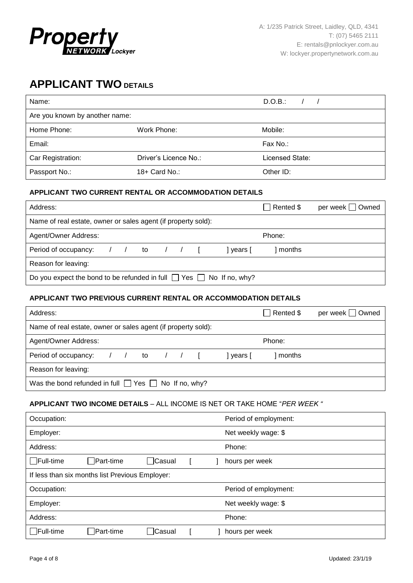

# **APPLICANT TWO DETAILS**

| Name:                          |                       | D.O.B.:         |  |  |  |  |  |
|--------------------------------|-----------------------|-----------------|--|--|--|--|--|
| Are you known by another name: |                       |                 |  |  |  |  |  |
| Home Phone:                    | Work Phone:           | Mobile:         |  |  |  |  |  |
| Email:                         |                       | Fax No.:        |  |  |  |  |  |
| Car Registration:              | Driver's Licence No.: | Licensed State: |  |  |  |  |  |
| Passport No.:                  | 18+ Card No.:         | Other ID:       |  |  |  |  |  |

## **APPLICANT TWO CURRENT RENTAL OR ACCOMMODATION DETAILS**

| Address:                                                                       |  |  |  |  |  |  |           | Rented \$ | per week □ Owned |
|--------------------------------------------------------------------------------|--|--|--|--|--|--|-----------|-----------|------------------|
| Name of real estate, owner or sales agent (if property sold):                  |  |  |  |  |  |  |           |           |                  |
| Agent/Owner Address:                                                           |  |  |  |  |  |  |           | Phone:    |                  |
| Period of occupancy: / / to / / [                                              |  |  |  |  |  |  | I years [ | ] months  |                  |
| Reason for leaving:                                                            |  |  |  |  |  |  |           |           |                  |
| Do you expect the bond to be refunded in full $\Box$ Yes $\Box$ No If no, why? |  |  |  |  |  |  |           |           |                  |

# **APPLICANT TWO PREVIOUS CURRENT RENTAL OR ACCOMMODATION DETAILS**

| Address:                                                       |  |  |  |  |  |  |           | Rented \$ | $per$ week $\Box$ Owned |
|----------------------------------------------------------------|--|--|--|--|--|--|-----------|-----------|-------------------------|
| Name of real estate, owner or sales agent (if property sold):  |  |  |  |  |  |  |           |           |                         |
| Agent/Owner Address:                                           |  |  |  |  |  |  |           | Phone:    |                         |
| Period of occupancy: / / to / / [                              |  |  |  |  |  |  | I vears [ | ] months  |                         |
| Reason for leaving:                                            |  |  |  |  |  |  |           |           |                         |
| Was the bond refunded in full $\Box$ Yes $\Box$ No If no, why? |  |  |  |  |  |  |           |           |                         |

### **APPLICANT TWO INCOME DETAILS** – ALL INCOME IS NET OR TAKE HOME "*PER WEEK "*

| Occupation:      |                                                 |               |  | Period of employment: |
|------------------|-------------------------------------------------|---------------|--|-----------------------|
| Employer:        |                                                 |               |  | Net weekly wage: \$   |
| Address:         |                                                 |               |  | Phone:                |
| $\Box$ Full-time | <b>O</b> Part-time                              | <b>Casual</b> |  | hours per week        |
|                  | If less than six months list Previous Employer: |               |  |                       |
| Occupation:      |                                                 |               |  | Period of employment: |
| Employer:        |                                                 |               |  | Net weekly wage: \$   |
| Address:         |                                                 |               |  | Phone:                |
| $\Box$ Full-time | $\Box$ Part-time                                | Casual        |  | hours per week        |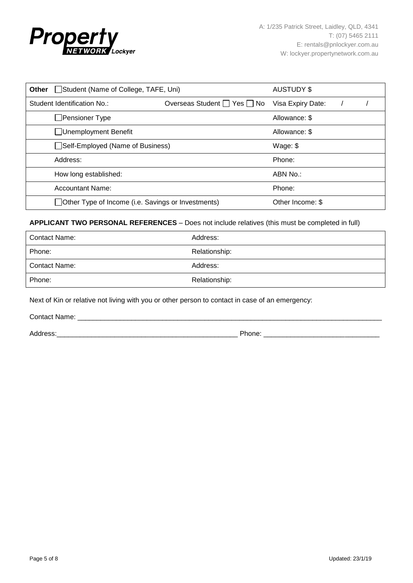

|                                                    | <b>Other</b> Student (Name of College, TAFE, Uni) |                   |  |  |  |  |  |  |  |
|----------------------------------------------------|---------------------------------------------------|-------------------|--|--|--|--|--|--|--|
| Student Identification No.:                        | Overseas Student □ Yes □ No                       | Visa Expiry Date: |  |  |  |  |  |  |  |
| Pensioner Type                                     |                                                   | Allowance: \$     |  |  |  |  |  |  |  |
| Unemployment Benefit                               | Allowance: \$                                     |                   |  |  |  |  |  |  |  |
| Self-Employed (Name of Business)                   | Wage: $$$                                         |                   |  |  |  |  |  |  |  |
| Address:                                           | Phone:                                            |                   |  |  |  |  |  |  |  |
| How long established:                              | ABN No.:                                          |                   |  |  |  |  |  |  |  |
| Accountant Name:                                   |                                                   | Phone:            |  |  |  |  |  |  |  |
| Other Type of Income (i.e. Savings or Investments) |                                                   | Other Income: \$  |  |  |  |  |  |  |  |

#### **APPLICANT TWO PERSONAL REFERENCES** – Does not include relatives (this must be completed in full)

| Contact Name:        | Address:      |
|----------------------|---------------|
| Phone:               | Relationship: |
| <b>Contact Name:</b> | Address:      |
| Phone:               | Relationship: |

Next of Kin or relative not living with you or other person to contact in case of an emergency:

Contact Name: \_\_\_\_\_\_\_\_\_\_\_\_\_\_\_\_\_\_\_\_\_\_\_\_\_\_\_\_\_\_\_\_\_\_\_\_\_\_\_\_\_\_\_\_\_\_\_\_\_\_\_\_\_\_\_\_\_\_\_\_\_\_\_\_\_\_\_\_\_\_\_\_\_\_\_\_\_\_\_

Address:\_\_\_\_\_\_\_\_\_\_\_\_\_\_\_\_\_\_\_\_\_\_\_\_\_\_\_\_\_\_\_\_\_\_\_\_\_\_\_\_\_\_\_\_\_\_\_ Phone: \_\_\_\_\_\_\_\_\_\_\_\_\_\_\_\_\_\_\_\_\_\_\_\_\_\_\_\_\_\_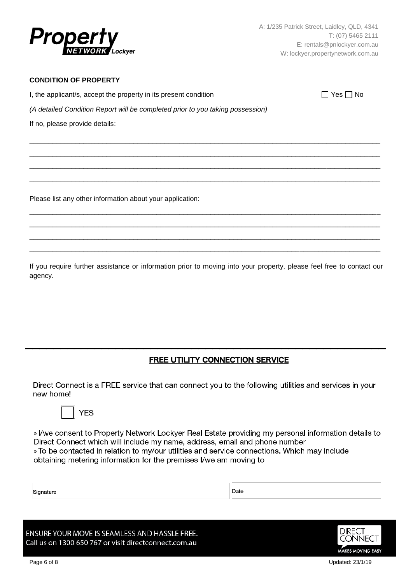

#### **CONDITION OF PROPERTY**

I, the applicant/s, accept the property in its present condition  $\square$  Yes  $\square$  No

*(A detailed Condition Report will be completed prior to you taking possession)*

If no, please provide details:

Please list any other information about your application:

If you require further assistance or information prior to moving into your property, please feel free to contact our agency.

\_\_\_\_\_\_\_\_\_\_\_\_\_\_\_\_\_\_\_\_\_\_\_\_\_\_\_\_\_\_\_\_\_\_\_\_\_\_\_\_\_\_\_\_\_\_\_\_\_\_\_\_\_\_\_\_\_\_\_\_\_\_\_\_\_\_\_\_\_\_\_\_\_\_\_\_\_\_\_\_\_\_\_\_\_\_\_\_\_\_\_ \_\_\_\_\_\_\_\_\_\_\_\_\_\_\_\_\_\_\_\_\_\_\_\_\_\_\_\_\_\_\_\_\_\_\_\_\_\_\_\_\_\_\_\_\_\_\_\_\_\_\_\_\_\_\_\_\_\_\_\_\_\_\_\_\_\_\_\_\_\_\_\_\_\_\_\_\_\_\_\_\_\_\_\_\_\_\_\_\_\_\_ \_\_\_\_\_\_\_\_\_\_\_\_\_\_\_\_\_\_\_\_\_\_\_\_\_\_\_\_\_\_\_\_\_\_\_\_\_\_\_\_\_\_\_\_\_\_\_\_\_\_\_\_\_\_\_\_\_\_\_\_\_\_\_\_\_\_\_\_\_\_\_\_\_\_\_\_\_\_\_\_\_\_\_\_\_\_\_\_\_\_\_ \_\_\_\_\_\_\_\_\_\_\_\_\_\_\_\_\_\_\_\_\_\_\_\_\_\_\_\_\_\_\_\_\_\_\_\_\_\_\_\_\_\_\_\_\_\_\_\_\_\_\_\_\_\_\_\_\_\_\_\_\_\_\_\_\_\_\_\_\_\_\_\_\_\_\_\_\_\_\_\_\_\_\_\_\_\_\_\_\_\_\_

\_\_\_\_\_\_\_\_\_\_\_\_\_\_\_\_\_\_\_\_\_\_\_\_\_\_\_\_\_\_\_\_\_\_\_\_\_\_\_\_\_\_\_\_\_\_\_\_\_\_\_\_\_\_\_\_\_\_\_\_\_\_\_\_\_\_\_\_\_\_\_\_\_\_\_\_\_\_\_\_\_\_\_\_\_\_\_\_\_\_\_ \_\_\_\_\_\_\_\_\_\_\_\_\_\_\_\_\_\_\_\_\_\_\_\_\_\_\_\_\_\_\_\_\_\_\_\_\_\_\_\_\_\_\_\_\_\_\_\_\_\_\_\_\_\_\_\_\_\_\_\_\_\_\_\_\_\_\_\_\_\_\_\_\_\_\_\_\_\_\_\_\_\_\_\_\_\_\_\_\_\_\_ \_\_\_\_\_\_\_\_\_\_\_\_\_\_\_\_\_\_\_\_\_\_\_\_\_\_\_\_\_\_\_\_\_\_\_\_\_\_\_\_\_\_\_\_\_\_\_\_\_\_\_\_\_\_\_\_\_\_\_\_\_\_\_\_\_\_\_\_\_\_\_\_\_\_\_\_\_\_\_\_\_\_\_\_\_\_\_\_\_\_\_ \_\_\_\_\_\_\_\_\_\_\_\_\_\_\_\_\_\_\_\_\_\_\_\_\_\_\_\_\_\_\_\_\_\_\_\_\_\_\_\_\_\_\_\_\_\_\_\_\_\_\_\_\_\_\_\_\_\_\_\_\_\_\_\_\_\_\_\_\_\_\_\_\_\_\_\_\_\_\_\_\_\_\_\_\_\_\_\_\_\_\_

# FREE UTILITY CONNECTION SERVICE

Direct Connect is a FREE service that can connect you to the following utilities and services in your new home!

\_\_\_\_\_\_\_\_\_\_\_\_\_\_\_\_\_\_\_\_\_\_\_\_\_\_\_\_\_\_\_\_\_\_\_\_\_\_\_\_\_\_\_\_\_\_\_\_\_\_\_\_



» I/we consent to Property Network Lockyer Real Estate providing my personal information details to Direct Connect which will include my name, address, email and phone number » To be contacted in relation to my/our utilities and service connections. Which may include obtaining metering information for the premises I/we am moving to

Signature

Date

ENSURE YOUR MOVE IS SEAMLESS AND HASSLE FREE. Call us on 1300 650 767 or visit directconnect.com.au

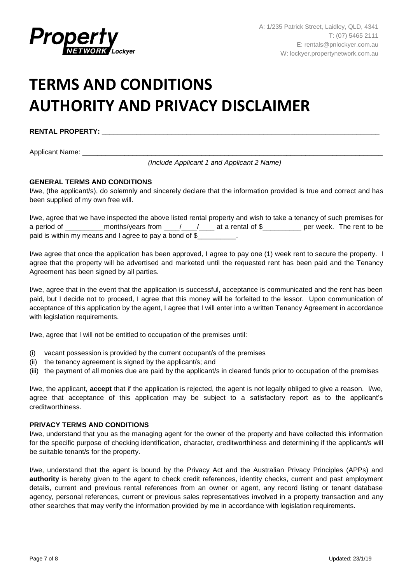

# **TERMS AND CONDITIONS AUTHORITY AND PRIVACY DISCLAIMER**

RENTAL PROPERTY:

Applicant Name:

*(Include Applicant 1 and Applicant 2 Name)*

### **GENERAL TERMS AND CONDITIONS**

I/we, (the applicant/s), do solemnly and sincerely declare that the information provided is true and correct and has been supplied of my own free will.

I/we, agree that we have inspected the above listed rental property and wish to take a tenancy of such premises for a period of The months/years from  $\frac{1}{2}$  at a rental of \$ are week. The rent to be paid is within my means and I agree to pay a bond of \$

I/we agree that once the application has been approved, I agree to pay one (1) week rent to secure the property. I agree that the property will be advertised and marketed until the requested rent has been paid and the Tenancy Agreement has been signed by all parties.

I/we, agree that in the event that the application is successful, acceptance is communicated and the rent has been paid, but I decide not to proceed, I agree that this money will be forfeited to the lessor. Upon communication of acceptance of this application by the agent, I agree that I will enter into a written Tenancy Agreement in accordance with legislation requirements.

I/we, agree that I will not be entitled to occupation of the premises until:

- (i) vacant possession is provided by the current occupant/s of the premises
- (ii) the tenancy agreement is signed by the applicant/s; and
- (iii) the payment of all monies due are paid by the applicant/s in cleared funds prior to occupation of the premises

I/we, the applicant, **accept** that if the application is rejected, the agent is not legally obliged to give a reason. I/we, agree that acceptance of this application may be subject to a satisfactory report as to the applicant's creditworthiness.

#### **PRIVACY TERMS AND CONDITIONS**

I/we, understand that you as the managing agent for the owner of the property and have collected this information for the specific purpose of checking identification, character, creditworthiness and determining if the applicant/s will be suitable tenant/s for the property.

I/we, understand that the agent is bound by the Privacy Act and the Australian Privacy Principles (APPs) and **authority** is hereby given to the agent to check credit references, identity checks, current and past employment details, current and previous rental references from an owner or agent, any record listing or tenant database agency, personal references, current or previous sales representatives involved in a property transaction and any other searches that may verify the information provided by me in accordance with legislation requirements.